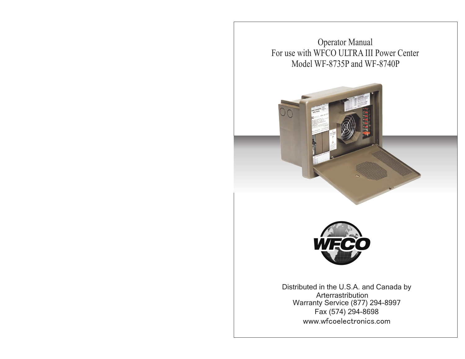Operator Manual For use with WFCO ULTRA III Power Center Model WF-8735P and WF-8740P





Distributed in the U.S.A. and Canada by Arterra Lstribution Warranty Service (877) 294-8997 Fax (574) 294-8698 www.wfcoelectronics.com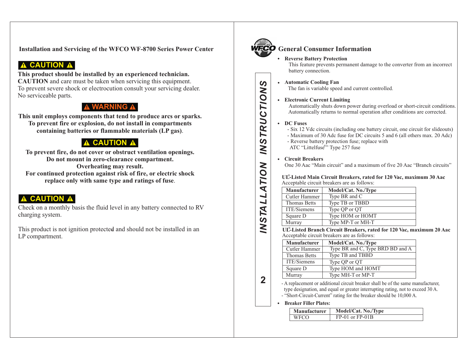**Installation and Servicing of the WFCO WF-8700 Series Power Center**

# **A CAUTION A**

**This product should be installed by an experienced technician. CAUTION** and care must be taken when servicing this equipment. To prevent severe shock or electrocution consult your servicing dealer. No serviceable parts.

# **WARNING A**

**This unit employs components that tend to produce arcs or sparks. To prevent fire or explosion, do not install in compartments containing batteries or flammable materials (LP gas)**.

# **A CAUTION A**

**To prevent fire, do not cover or obstruct ventilation openings. Do not mount in zero-clearance compartment. Overheating may result. For continued protection against risk of fire, or electric shock replace only with same type and ratings of fuse**.

# **A CAUTION A**

Check on a monthly basis the fluid level in any battery connected to RV charging system.

This product is not ignition protected and should not be installed in an LP compartment.



# **General Consumer Information**

## **Reverse Battery Protection**

This feature prevents permanent damage to the converter from an incorrect battery connection.

# **Automatic Cooling Fan**

The fan is variable speed and current controlled.

## **Electronic Current Limiting**

Automatically shuts down power during overload or short-circuit conditions. Automatically returns to normal operation after conditions are corrected.

## **DC Fuses**

- Six 12 Vdc circuits (including one battery circuit, one circuit for slideouts)

- Maximum of 30 Adc fuse for DC circuits 5 and 6 (all others max. 20 Adc)
- Reverse battery protection fuse; replace with
- ATC "Littelfuse<sup>®</sup>" Type 257 fuse

## **Circuit Breakers**

One 30 Aac "Main circuit" and a maximum of five 20 Aac "Branch circuits"

#### **UL-Listed Main Circuit Breakers, rated for 120 Vac, maximum 30 Aac** ® Acceptable circuit breakers are as follows:

| Manufacturer        | Model/Cat. No./Type |
|---------------------|---------------------|
| Cutler Hammer       | Type BR and C       |
| <b>Thomas Betts</b> | Type TB or TBBD     |
| ITE/Siemens         | Type QP or QT       |
| Square D            | Type HOM or HOMT    |
| Murray              | Type MP-T or MH-T   |

**UL-Listed Branch Circuit Breakers, rated for 120 Vac, maximum 20 Aac** ® Acceptable circuit breakers are as follows:

| Manufacturer        | Model/Cat. No./Type              |
|---------------------|----------------------------------|
| Cutler Hammer       | Type BR and C, Type BRD BD and A |
| <b>Thomas Betts</b> | Type TB and TBBD                 |
| ITE/Siemens         | Type QP or QT                    |
| Square D            | Type HOM and HOMT                |
| Murray              | Type MH-T or MP-T                |

**2***IN*

*STA*

*LL* $\blacktriangleleft$ 

*TION I*

*N*<u>ဟ</u> *TRUCTI ONS*

> - A replacement or additional circuit breaker shall be of the same manufacturer, type designation, and equal or greater interrupting rating, not to exceed 30 A. - "Short-Circuit-Current" rating for the breaker should be 10,000 A.

### **Breaker Filler Plates:**

| <b>Manufacturer</b> | Model/Cat. No./Type |
|---------------------|---------------------|
| <b>WECO</b>         | $FP-01$ or $FP-01B$ |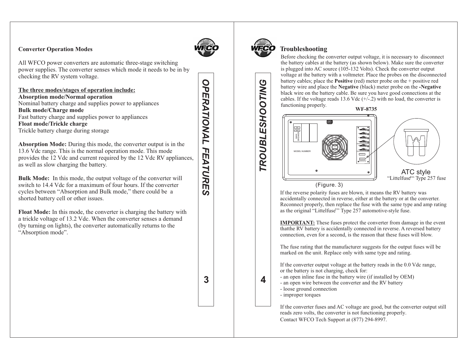## **Converter Operation Modes**



OPERATIONAL

**3***OPERATIONAL FEATURES*

 $\boldsymbol{\omega}$ 

3

FEATURE

All WFCO power converters are automatic three-stage switching power supplies. The converter senses which mode it needs to be in by checking the RV system voltage.

**The three modes/stages of operation include: Absorption mode/Normal operation** Nominal battery charge and supplies power to appliances **Bulk mode/Charge mode** Fast battery charge and supplies power to appliances **Float mode/Trickle charge** Trickle battery charge during storage

**Absorption Mode:** During this mode, the converter output is in the 13.6 Vdc range. This is the normal operation mode. This mode provides the 12 Vdc and current required by the 12 Vdc RV appliances, as well as slow charging the battery.

**Bulk Mode:** In this mode, the output voltage of the converter will switch to 14.4 Vdc for a maximum of four hours. If the converter cycles between "Absorption and Bulk mode," there could be a shorted battery cell or other issues.

**Float Mode:** In this mode, the converter is charging the battery with a trickle voltage of 13.2 Vdc. When the converter senses a demand (by turning on lights), the converter automatically returns to the "Absorption mode".

# **Troubleshooting**

Before checking the converter output voltage, it is necessary to disconnect the battery cables at the battery (as shown below). Make sure the converter is plugged into AC source (105-132 Volts). Check the converter output voltage at the battery with a voltmeter. Place the probes on the disconnected battery cables; place the **Positive** (red) meter probe on the + positive red battery wire and place the **Negative** (black) meter probe on the **-Negative**  black wire on the battery cable. Be sure you have good connections at the cables. If the voltage reads 13.6 Vdc  $(+/-2)$  with no load, the converter is functioning properly.

**WF-8735**



If the reverse polarity fuses are blown, it means the RV battery was accidentally connected in reverse, either at the battery or at the converter. Reconnect properly, then replace the fuse with the same type and amp rating as the original "Littelfuse"" Type 257 automotive-style fuse.

**IMPORTANT:** These fuses protect the converter from damage in the event thatthe RV battery is accidentally connected in reverse. A reversed battery connection, even for a second, is the reason that these fuses will blow.

The fuse rating that the manufacturer suggests for the output fuses will be marked on the unit. Replace only with same type and rating.

If the converter output voltage at the battery reads in the 0.0 Vdc range, or the battery is not charging, check for:

- an open inline fuse in the battery wire (if installed by OEM)
- an open wire between the converter and the RV battery
- loose ground connection
- improper torques

If the converter fuses and AC voltage are good, but the converter output still reads zero volts, the converter is not functioning properly. Contact WFCO Tech Support at (877) 294-8997.

# **TROUBLESHOOTING 4***TROUBLESHOOTING*

4